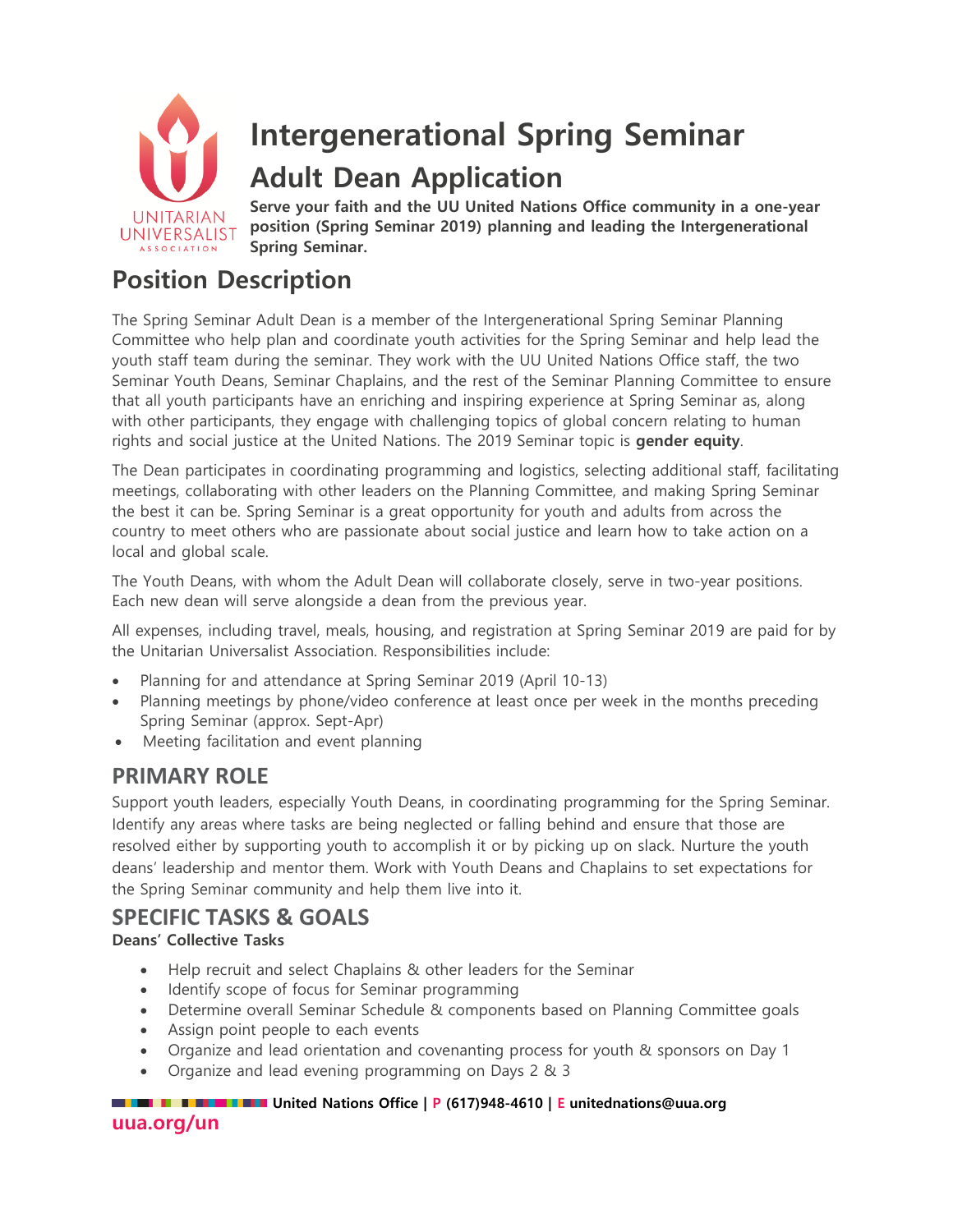

# **Position Description**

The Spring Seminar Adult Dean is a member of the Intergenerational Spring Seminar Planning Committee who help plan and coordinate youth activities for the Spring Seminar and help lead the youth staff team during the seminar. They work with the UU United Nations Office staff, the two Seminar Youth Deans, Seminar Chaplains, and the rest of the Seminar Planning Committee to ensure that all youth participants have an enriching and inspiring experience at Spring Seminar as, along with other participants, they engage with challenging topics of global concern relating to human rights and social justice at the United Nations. The 2019 Seminar topic is **gender equity**.

The Dean participates in coordinating programming and logistics, selecting additional staff, facilitating meetings, collaborating with other leaders on the Planning Committee, and making Spring Seminar the best it can be. Spring Seminar is a great opportunity for youth and adults from across the country to meet others who are passionate about social justice and learn how to take action on a local and global scale.

The Youth Deans, with whom the Adult Dean will collaborate closely, serve in two-year positions. Each new dean will serve alongside a dean from the previous year.

All expenses, including travel, meals, housing, and registration at Spring Seminar 2019 are paid for by the Unitarian Universalist Association. Responsibilities include:

- Planning for and attendance at Spring Seminar 2019 (April 10-13)
- Planning meetings by phone/video conference at least once per week in the months preceding Spring Seminar (approx. Sept-Apr)
- Meeting facilitation and event planning

### **PRIMARY ROLE**

Support youth leaders, especially Youth Deans, in coordinating programming for the Spring Seminar. Identify any areas where tasks are being neglected or falling behind and ensure that those are resolved either by supporting youth to accomplish it or by picking up on slack. Nurture the youth deans' leadership and mentor them. Work with Youth Deans and Chaplains to set expectations for the Spring Seminar community and help them live into it.

## **SPECIFIC TASKS & GOALS**

#### **Deans' Collective Tasks**

- Help recruit and select Chaplains & other leaders for the Seminar
- Identify scope of focus for Seminar programming
- Determine overall Seminar Schedule & components based on Planning Committee goals
- Assign point people to each events
- Organize and lead orientation and covenanting process for youth & sponsors on Day 1
- Organize and lead evening programming on Days 2 & 3

#### **UNITED INCOLLECT IN THE United Nations Office | P (617)948-4610 | E unitednations@uua.org**

**uua.org/un**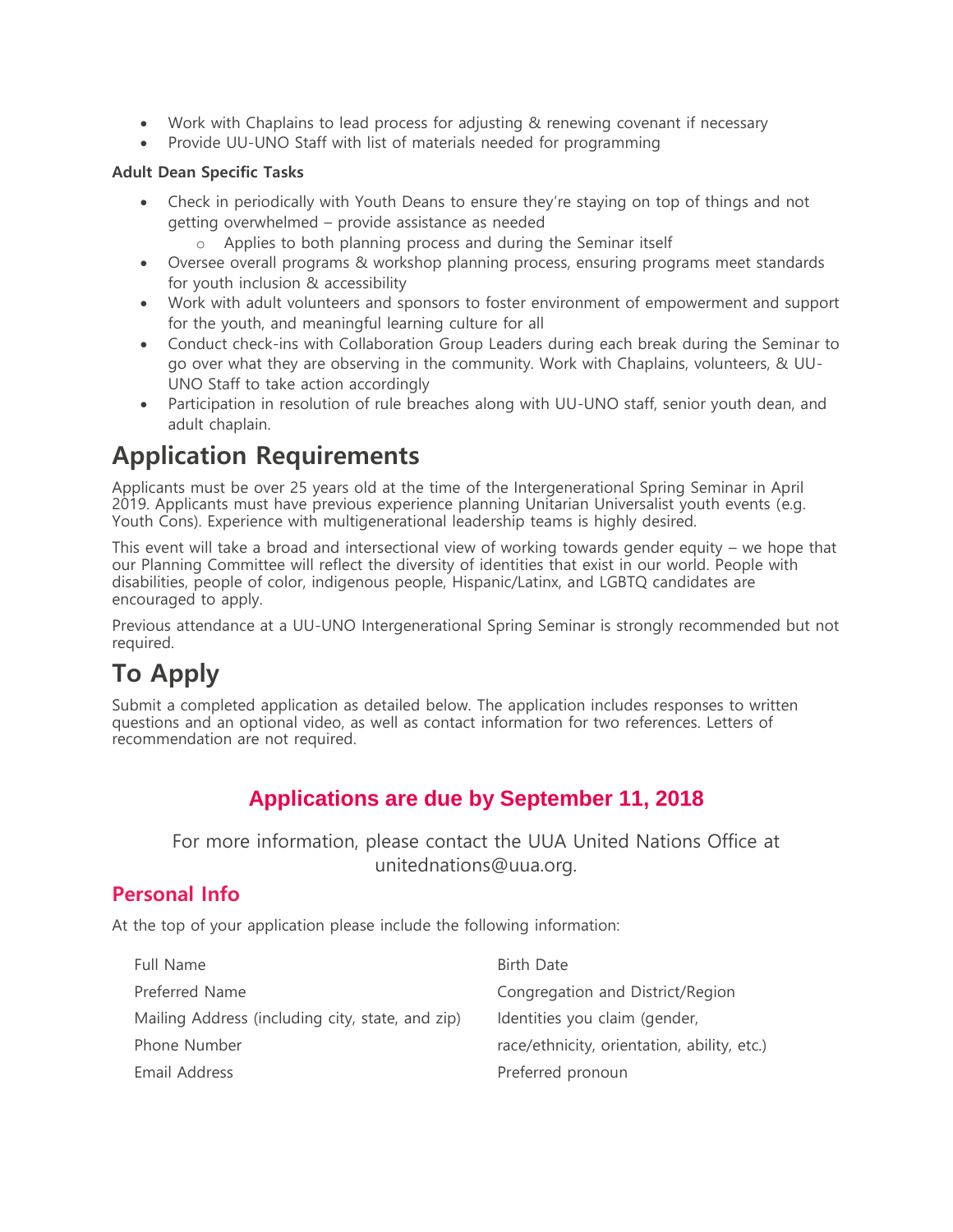- Work with Chaplains to lead process for adjusting & renewing covenant if necessary
- Provide UU-UNO Staff with list of materials needed for programming

#### **Adult Dean Specific Tasks**

- Check in periodically with Youth Deans to ensure they're staying on top of things and not getting overwhelmed – provide assistance as needed
	- o Applies to both planning process and during the Seminar itself
- Oversee overall programs & workshop planning process, ensuring programs meet standards for youth inclusion & accessibility
- Work with adult volunteers and sponsors to foster environment of empowerment and support for the youth, and meaningful learning culture for all
- Conduct check-ins with Collaboration Group Leaders during each break during the Seminar to go over what they are observing in the community. Work with Chaplains, volunteers, & UU-UNO Staff to take action accordingly
- Participation in resolution of rule breaches along with UU-UNO staff, senior youth dean, and adult chaplain.

# **Application Requirements**

Applicants must be over 25 years old at the time of the Intergenerational Spring Seminar in April 2019. Applicants must have previous experience planning Unitarian Universalist youth events (e.g. Youth Cons). Experience with multigenerational leadership teams is highly desired.

This event will take a broad and intersectional view of working towards gender equity – we hope that our Planning Committee will reflect the diversity of identities that exist in our world. People with disabilities, people of color, indigenous people, Hispanic/Latinx, and LGBTQ candidates are encouraged to apply.

Previous attendance at a UU-UNO Intergenerational Spring Seminar is strongly recommended but not required.

# **To Apply**

Submit a completed application as detailed below. The application includes responses to written questions and an optional video, as well as contact information for two references. Letters of recommendation are not required.

## **Applications are due by September 11, 2018**

For more information, please contact the UUA United Nations Office at unitednations@uua.org.

### **Personal Info**

At the top of your application please include the following information:

| Full Name                                        | Birth Date                                  |
|--------------------------------------------------|---------------------------------------------|
| Preferred Name                                   | Congregation and District/Region            |
| Mailing Address (including city, state, and zip) | Identities you claim (gender,               |
| Phone Number                                     | race/ethnicity, orientation, ability, etc.) |
| Email Address                                    | Preferred pronoun                           |
|                                                  |                                             |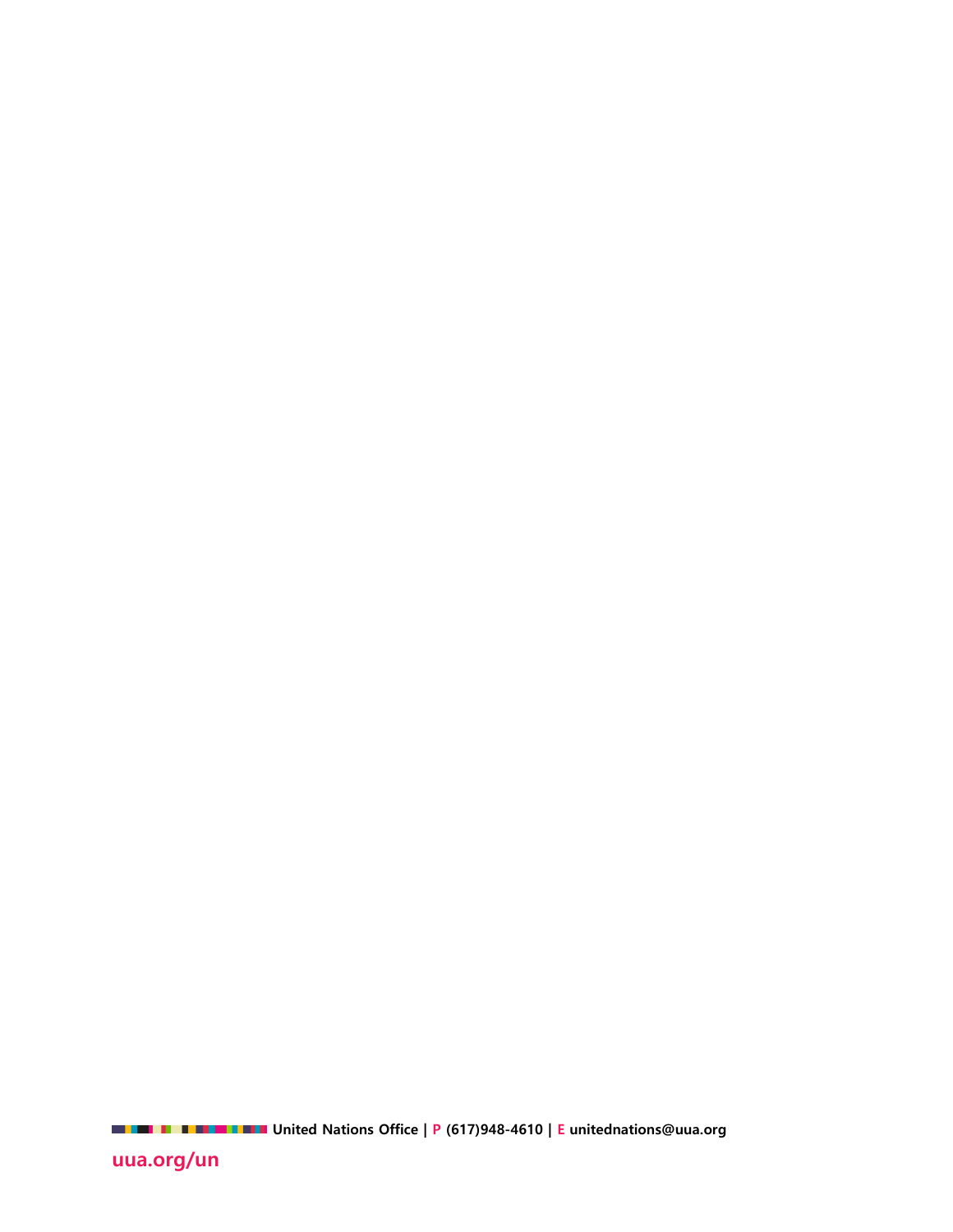**United Nations Office | P (617)948-4610 | E unitednations@uua.org** 

**uua.org/un**